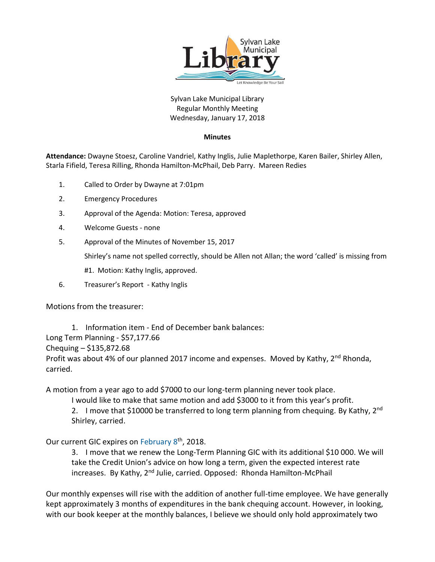

## Sylvan Lake Municipal Library Regular Monthly Meeting Wednesday, January 17, 2018

### **Minutes**

**Attendance:** Dwayne Stoesz, Caroline Vandriel, Kathy Inglis, Julie Maplethorpe, Karen Bailer, Shirley Allen, Starla Fifield, Teresa Rilling, Rhonda Hamilton-McPhail, Deb Parry. Mareen Redies

- 1. Called to Order by Dwayne at 7:01pm
- 2. Emergency Procedures
- 3. Approval of the Agenda: Motion: Teresa, approved
- 4. Welcome Guests none
- 5. Approval of the Minutes of November 15, 2017

Shirley's name not spelled correctly, should be Allen not Allan; the word 'called' is missing from

#1. Motion: Kathy Inglis, approved.

6. Treasurer's Report - Kathy Inglis

Motions from the treasurer:

1. Information item - End of December bank balances: Long Term Planning - \$57,177.66 Chequing – \$135,872.68 Profit was about 4% of our planned 2017 income and expenses. Moved by Kathy, 2<sup>nd</sup> Rhonda, carried.

A motion from a year ago to add \$7000 to our long-term planning never took place.

I would like to make that same motion and add \$3000 to it from this year's profit.

2. I move that \$10000 be transferred to long term planning from chequing. By Kathy, 2<sup>nd</sup> Shirley, carried.

## Our current GIC expires on February 8<sup>th</sup>, 2018.

3. I move that we renew the Long-Term Planning GIC with its additional \$10 000. We will take the Credit Union's advice on how long a term, given the expected interest rate increases. By Kathy, 2<sup>nd</sup> Julie, carried. Opposed: Rhonda Hamilton-McPhail

Our monthly expenses will rise with the addition of another full-time employee. We have generally kept approximately 3 months of expenditures in the bank chequing account. However, in looking, with our book keeper at the monthly balances, I believe we should only hold approximately two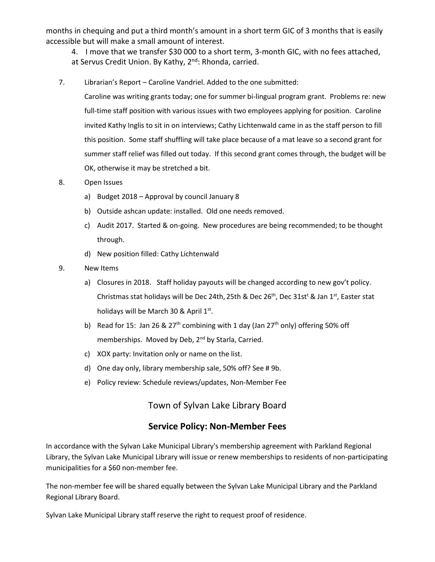months in chequing and put a third month's amount in a short term GIC of 3 months that is easily accessible but will make a small amount of interest.

- 4. I move that we transfer \$30 000 to a short term, 3-month GIC, with no fees attached, at Servus Credit Union. By Kathy, 2<sup>nd</sup>: Rhonda, carried.
- 7. Librarian's Report Caroline Vandriel. Added to the one submitted:

Caroline was writing grants today; one for summer bi-lingual program grant. Problems re: new full-time staff position with various issues with two employees applying for position. Caroline invited Kathy Inglis to sit in on interviews; Cathy Lichtenwald came in as the staff person to fill this position. Some staff shuffling will take place because of a mat leave so a second grant for summer staff relief was filled out today. If this second grant comes through, the budget will be OK, otherwise it may be stretched a bit.

- 8. Open Issues
	- a) Budget 2018 Approval by council January 8
	- b) Outside ashcan update: installed. Old one needs removed.
	- c) Audit 2017. Started & on-going. New procedures are being recommended; to be thought through.
	- d) New position filled: Cathy Lichtenwald
- 9. New Items
	- a) Closures in 2018. Staff holiday payouts will be changed according to new gov't policy. Christmas stat holidays will be Dec 24th, 25th & Dec 26<sup>th</sup>, Dec 31st<sup>t</sup> & Jan 1<sup>st</sup>, Easter stat holidays will be March 30 & April 1<sup>st</sup>.
	- b) Read for 15: Jan 26 & 27<sup>th</sup> combining with 1 day (Jan 27<sup>th</sup> only) offering 50% off memberships. Moved by Deb, 2<sup>nd</sup> by Starla, Carried.
	- c) XOX party: Invitation only or name on the list.
	- d) One day only, library membership sale, 50% off? See # 9b.
	- e) Policy review: Schedule reviews/updates, Non-Member Fee

# Town of Sylvan Lake Library Board

# **Service Policy: Non-Member Fees**

In accordance with the Sylvan Lake Municipal Library's membership agreement with Parkland Regional Library, the Sylvan Lake Municipal Library will issue or renew memberships to residents of non-participating municipalities for a \$60 non-member fee.

The non-member fee will be shared equally between the Sylvan Lake Municipal Library and the Parkland Regional Library Board.

Sylvan Lake Municipal Library staff reserve the right to request proof of residence.